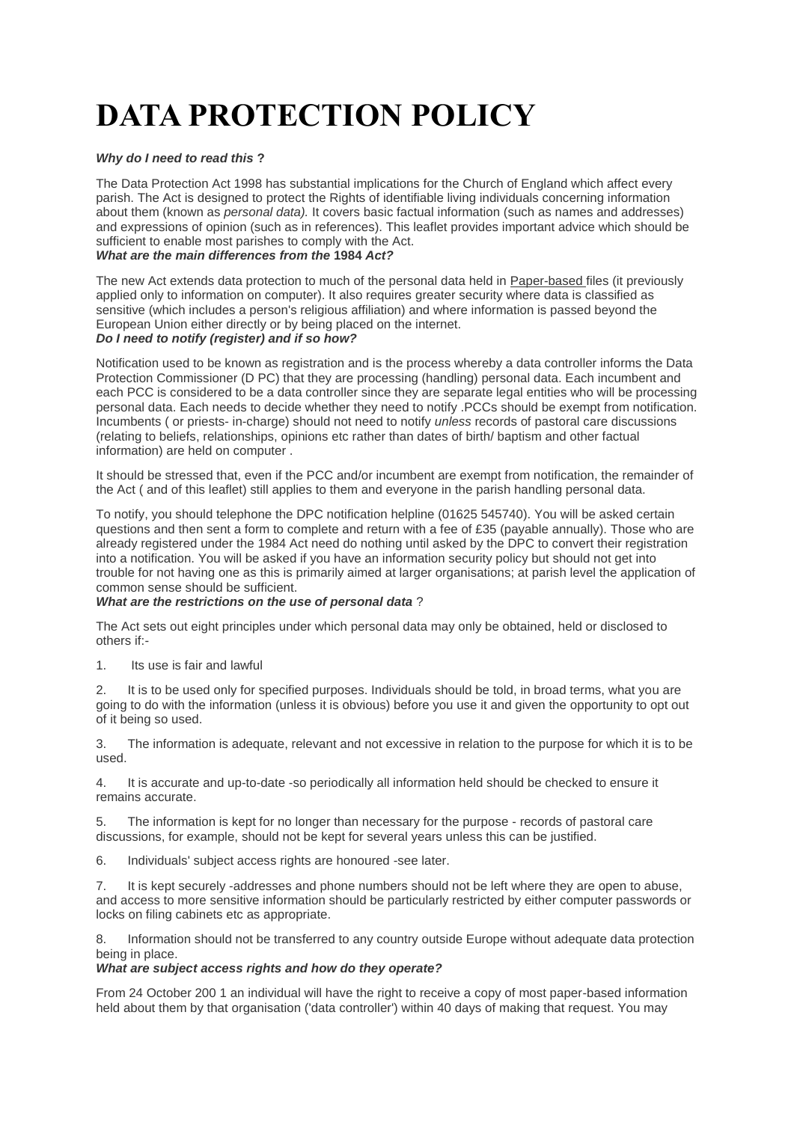# **DATA PROTECTION POLICY**

#### *Why do I need to read this* **?**

The Data Protection Act 1998 has substantial implications for the Church of England which affect every parish. The Act is designed to protect the Rights of identifiable living individuals concerning information about them (known as *personal data).* It covers basic factual information (such as names and addresses) and expressions of opinion (such as in references). This leaflet provides important advice which should be sufficient to enable most parishes to comply with the Act.

### *What are the main differences from the* **1984** *Act?*

The new Act extends data protection to much of the personal data held in Paper-based files (it previously applied only to information on computer). It also requires greater security where data is classified as sensitive (which includes a person's religious affiliation) and where information is passed beyond the European Union either directly or by being placed on the internet. *Do I need to notify (register) and if so how?*

Notification used to be known as registration and is the process whereby a data controller informs the Data Protection Commissioner (D PC) that they are processing (handling) personal data. Each incumbent and each PCC is considered to be a data controller since they are separate legal entities who will be processing personal data. Each needs to decide whether they need to notify .PCCs should be exempt from notification. Incumbents ( or priests- in-charge) should not need to notify *unless* records of pastoral care discussions (relating to beliefs, relationships, opinions etc rather than dates of birth/ baptism and other factual information) are held on computer .

It should be stressed that, even if the PCC and/or incumbent are exempt from notification, the remainder of the Act ( and of this leaflet) still applies to them and everyone in the parish handling personal data.

To notify, you should telephone the DPC notification helpline (01625 545740). You will be asked certain questions and then sent a form to complete and return with a fee of £35 (payable annually). Those who are already registered under the 1984 Act need do nothing until asked by the DPC to convert their registration into a notification. You will be asked if you have an information security policy but should not get into trouble for not having one as this is primarily aimed at larger organisations; at parish level the application of common sense should be sufficient.

#### *What are the restrictions on the use of personal data* ?

The Act sets out eight principles under which personal data may only be obtained, held or disclosed to others if:-

1. Its use is fair and lawful

2. It is to be used only for specified purposes. Individuals should be told, in broad terms, what you are going to do with the information (unless it is obvious) before you use it and given the opportunity to opt out of it being so used.

3. The information is adequate, relevant and not excessive in relation to the purpose for which it is to be used.

4. It is accurate and up-to-date -so periodically all information held should be checked to ensure it remains accurate.

5. The information is kept for no longer than necessary for the purpose - records of pastoral care discussions, for example, should not be kept for several years unless this can be justified.

6. Individuals' subject access rights are honoured -see later.

7. It is kept securely -addresses and phone numbers should not be left where they are open to abuse, and access to more sensitive information should be particularly restricted by either computer passwords or locks on filing cabinets etc as appropriate.

8. Information should not be transferred to any country outside Europe without adequate data protection being in place.

#### *What are subject access rights and how do they operate?*

From 24 October 200 1 an individual will have the right to receive a copy of most paper-based information held about them by that organisation ('data controller') within 40 days of making that request. You may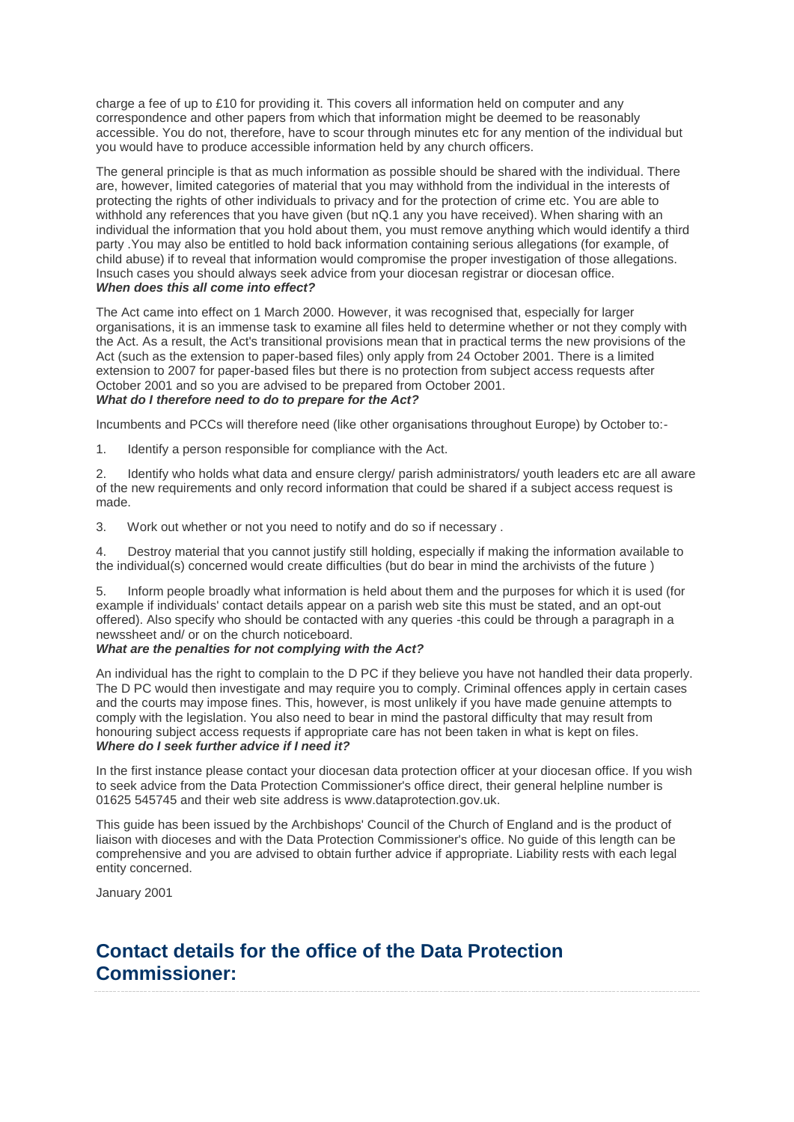charge a fee of up to £10 for providing it. This covers all information held on computer and any correspondence and other papers from which that information might be deemed to be reasonably accessible. You do not, therefore, have to scour through minutes etc for any mention of the individual but you would have to produce accessible information held by any church officers.

The general principle is that as much information as possible should be shared with the individual. There are, however, limited categories of material that you may withhold from the individual in the interests of protecting the rights of other individuals to privacy and for the protection of crime etc. You are able to withhold any references that you have given (but nQ.1 any you have received). When sharing with an individual the information that you hold about them, you must remove anything which would identify a third party .You may also be entitled to hold back information containing serious allegations (for example, of child abuse) if to reveal that information would compromise the proper investigation of those allegations. Insuch cases you should always seek advice from your diocesan registrar or diocesan office. *When does this all come into effect?*

The Act came into effect on 1 March 2000. However, it was recognised that, especially for larger organisations, it is an immense task to examine all files held to determine whether or not they comply with the Act. As a result, the Act's transitional provisions mean that in practical terms the new provisions of the Act (such as the extension to paper-based files) only apply from 24 October 2001. There is a limited extension to 2007 for paper-based files but there is no protection from subject access requests after October 2001 and so you are advised to be prepared from October 2001. *What do I therefore need to do to prepare for the Act?*

Incumbents and PCCs will therefore need (like other organisations throughout Europe) by October to:-

1. Identify a person responsible for compliance with the Act.

2. Identify who holds what data and ensure clergy/ parish administrators/ youth leaders etc are all aware of the new requirements and only record information that could be shared if a subject access request is made.

3. Work out whether or not you need to notify and do so if necessary .

4. Destroy material that you cannot justify still holding, especially if making the information available to the individual(s) concerned would create difficulties (but do bear in mind the archivists of the future )

5. Inform people broadly what information is held about them and the purposes for which it is used (for example if individuals' contact details appear on a parish web site this must be stated, and an opt-out offered). Also specify who should be contacted with any queries -this could be through a paragraph in a newssheet and/ or on the church noticeboard.

#### *What are the penalties for not complying with the Act?*

An individual has the right to complain to the D PC if they believe you have not handled their data properly. The D PC would then investigate and may require you to comply. Criminal offences apply in certain cases and the courts may impose fines. This, however, is most unlikely if you have made genuine attempts to comply with the legislation. You also need to bear in mind the pastoral difficulty that may result from honouring subject access requests if appropriate care has not been taken in what is kept on files. *Where do I seek further advice if I need it?*

In the first instance please contact your diocesan data protection officer at your diocesan office. If you wish to seek advice from the Data Protection Commissioner's office direct, their general helpline number is 01625 545745 and their web site address is www.dataprotection.gov.uk.

This guide has been issued by the Archbishops' Council of the Church of England and is the product of liaison with dioceses and with the Data Protection Commissioner's office. No guide of this length can be comprehensive and you are advised to obtain further advice if appropriate. Liability rests with each legal entity concerned.

January 2001

## **Contact details for the office of the Data Protection Commissioner:**